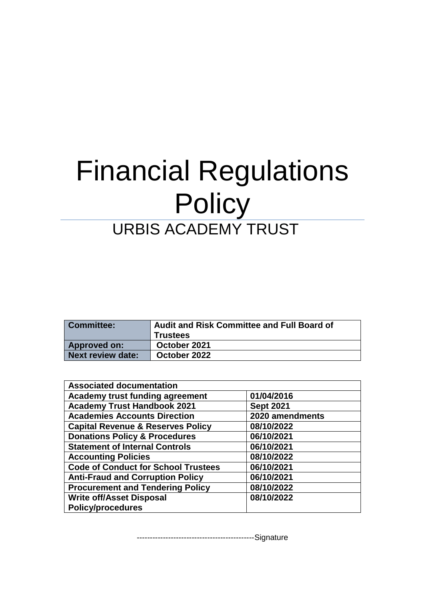# Financial Regulations **Policy** URBIS ACADEMY TRUST

| <b>Committee:</b>   | <b>Audit and Risk Committee and Full Board of</b> |  |
|---------------------|---------------------------------------------------|--|
|                     | <b>Trustees</b>                                   |  |
| <b>Approved on:</b> | October 2021                                      |  |
| Next review date:   | October 2022                                      |  |

| <b>Associated documentation</b>              |                  |
|----------------------------------------------|------------------|
| <b>Academy trust funding agreement</b>       | 01/04/2016       |
| <b>Academy Trust Handbook 2021</b>           | <b>Sept 2021</b> |
| <b>Academies Accounts Direction</b>          | 2020 amendments  |
| <b>Capital Revenue &amp; Reserves Policy</b> | 08/10/2022       |
| <b>Donations Policy &amp; Procedures</b>     | 06/10/2021       |
| <b>Statement of Internal Controls</b>        | 06/10/2021       |
| <b>Accounting Policies</b>                   | 08/10/2022       |
| <b>Code of Conduct for School Trustees</b>   | 06/10/2021       |
| <b>Anti-Fraud and Corruption Policy</b>      | 06/10/2021       |
| <b>Procurement and Tendering Policy</b>      | 08/10/2022       |
| <b>Write off/Asset Disposal</b>              | 08/10/2022       |
| <b>Policy/procedures</b>                     |                  |

---------------------------------------------Signature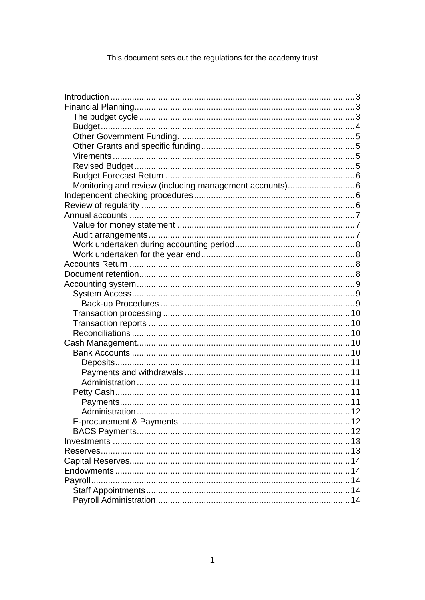This document sets out the regulations for the academy trust

| Monitoring and review (including management accounts)6 |  |
|--------------------------------------------------------|--|
|                                                        |  |
|                                                        |  |
|                                                        |  |
|                                                        |  |
|                                                        |  |
|                                                        |  |
|                                                        |  |
|                                                        |  |
|                                                        |  |
|                                                        |  |
|                                                        |  |
|                                                        |  |
|                                                        |  |
|                                                        |  |
|                                                        |  |
|                                                        |  |
|                                                        |  |
|                                                        |  |
|                                                        |  |
|                                                        |  |
|                                                        |  |
|                                                        |  |
|                                                        |  |
|                                                        |  |
|                                                        |  |
|                                                        |  |
|                                                        |  |
|                                                        |  |
|                                                        |  |
|                                                        |  |
|                                                        |  |
|                                                        |  |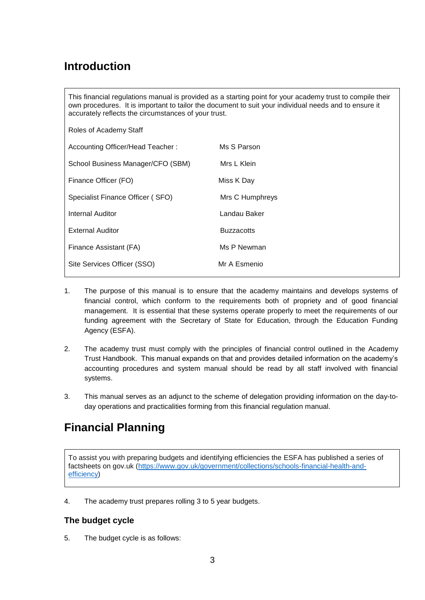# <span id="page-3-0"></span>**Introduction**

This financial regulations manual is provided as a starting point for your academy trust to compile their own procedures. It is important to tailor the document to suit your individual needs and to ensure it accurately reflects the circumstances of your trust.

| Roles of Academy Staff            |                   |
|-----------------------------------|-------------------|
| Accounting Officer/Head Teacher:  | Ms S Parson       |
| School Business Manager/CFO (SBM) | Mrs L Klein       |
| Finance Officer (FO)              | Miss K Day        |
| Specialist Finance Officer (SFO)  | Mrs C Humphreys   |
| Internal Auditor                  | Landau Baker      |
| <b>External Auditor</b>           | <b>Buzzacotts</b> |
| Finance Assistant (FA)            | Ms P Newman       |
| Site Services Officer (SSO)       | Mr A Esmenio      |

- 1. The purpose of this manual is to ensure that the academy maintains and develops systems of financial control, which conform to the requirements both of propriety and of good financial management. It is essential that these systems operate properly to meet the requirements of our funding agreement with the Secretary of State for Education, through the Education Funding Agency (ESFA).
- 2. The academy trust must comply with the principles of financial control outlined in the Academy Trust Handbook. This manual expands on that and provides detailed information on the academy's accounting procedures and system manual should be read by all staff involved with financial systems.
- 3. This manual serves as an adjunct to the scheme of delegation providing information on the day-today operations and practicalities forming from this financial regulation manual.

# <span id="page-3-1"></span>**Financial Planning**

To assist you with preparing budgets and identifying efficiencies the ESFA has published a series of factsheets on gov.uk [\(https://www.gov.uk/government/collections/schools-financial-health-and](https://www.gov.uk/government/collections/schools-financial-health-and-efficiency)[efficiency\)](https://www.gov.uk/government/collections/schools-financial-health-and-efficiency)

4. The academy trust prepares rolling 3 to 5 year budgets.

# <span id="page-3-2"></span>**The budget cycle**

5. The budget cycle is as follows: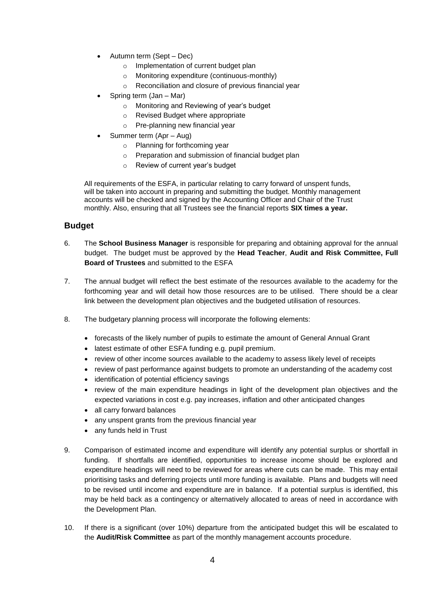- Autumn term (Sept Dec)
	- o Implementation of current budget plan
	- o Monitoring expenditure (continuous-monthly)
	- o Reconciliation and closure of previous financial year
- Spring term (Jan Mar)
	- o Monitoring and Reviewing of year's budget
	- o Revised Budget where appropriate
	- o Pre-planning new financial year
- Summer term (Apr Aug)
	- o Planning for forthcoming year
	- o Preparation and submission of financial budget plan
	- o Review of current year's budget

All requirements of the ESFA, in particular relating to carry forward of unspent funds, will be taken into account in preparing and submitting the budget. Monthly management accounts will be checked and signed by the Accounting Officer and Chair of the Trust monthly. Also, ensuring that all Trustees see the financial reports **SIX times a year.**

### <span id="page-4-0"></span>**Budget**

- 6. The **School Business Manager** is responsible for preparing and obtaining approval for the annual budget. The budget must be approved by the **Head Teacher**, **Audit and Risk Committee, Full Board of Trustees** and submitted to the ESFA
- 7. The annual budget will reflect the best estimate of the resources available to the academy for the forthcoming year and will detail how those resources are to be utilised. There should be a clear link between the development plan objectives and the budgeted utilisation of resources.
- 8. The budgetary planning process will incorporate the following elements:
	- forecasts of the likely number of pupils to estimate the amount of General Annual Grant
	- latest estimate of other ESFA funding e.g. pupil premium.
	- review of other income sources available to the academy to assess likely level of receipts
	- review of past performance against budgets to promote an understanding of the academy cost
	- identification of potential efficiency savings
	- review of the main expenditure headings in light of the development plan objectives and the expected variations in cost e.g. pay increases, inflation and other anticipated changes
	- all carry forward balances
	- any unspent grants from the previous financial year
	- any funds held in Trust
- 9. Comparison of estimated income and expenditure will identify any potential surplus or shortfall in funding. If shortfalls are identified, opportunities to increase income should be explored and expenditure headings will need to be reviewed for areas where cuts can be made. This may entail prioritising tasks and deferring projects until more funding is available. Plans and budgets will need to be revised until income and expenditure are in balance. If a potential surplus is identified, this may be held back as a contingency or alternatively allocated to areas of need in accordance with the Development Plan.
- 10. If there is a significant (over 10%) departure from the anticipated budget this will be escalated to the **Audit/Risk Committee** as part of the monthly management accounts procedure.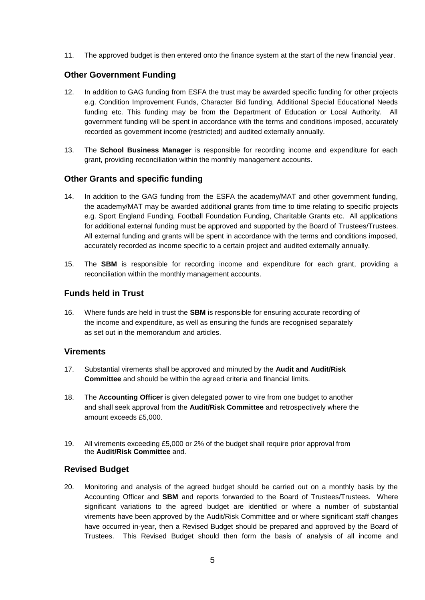11. The approved budget is then entered onto the finance system at the start of the new financial year.

# <span id="page-5-0"></span>**Other Government Funding**

- 12. In addition to GAG funding from ESFA the trust may be awarded specific funding for other projects e.g. Condition Improvement Funds, Character Bid funding, Additional Special Educational Needs funding etc. This funding may be from the Department of Education or Local Authority. All government funding will be spent in accordance with the terms and conditions imposed, accurately recorded as government income (restricted) and audited externally annually.
- 13. The **School Business Manager** is responsible for recording income and expenditure for each grant, providing reconciliation within the monthly management accounts.

### <span id="page-5-1"></span>**Other Grants and specific funding**

- 14. In addition to the GAG funding from the ESFA the academy/MAT and other government funding, the academy/MAT may be awarded additional grants from time to time relating to specific projects e.g. Sport England Funding, Football Foundation Funding, Charitable Grants etc. All applications for additional external funding must be approved and supported by the Board of Trustees/Trustees. All external funding and grants will be spent in accordance with the terms and conditions imposed, accurately recorded as income specific to a certain project and audited externally annually.
- 15. The **SBM** is responsible for recording income and expenditure for each grant, providing a reconciliation within the monthly management accounts.

# **Funds held in Trust**

16. Where funds are held in trust the **SBM** is responsible for ensuring accurate recording of the income and expenditure, as well as ensuring the funds are recognised separately as set out in the memorandum and articles.

### <span id="page-5-2"></span>**Virements**

- 17. Substantial virements shall be approved and minuted by the **Audit and Audit/Risk Committee** and should be within the agreed criteria and financial limits.
- 18. The **Accounting Officer** is given delegated power to vire from one budget to another and shall seek approval from the **Audit/Risk Committee** and retrospectively where the amount exceeds £5,000.
- 19. All virements exceeding £5,000 or 2% of the budget shall require prior approval from the **Audit/Risk Committee** and.

### <span id="page-5-3"></span>**Revised Budget**

20. Monitoring and analysis of the agreed budget should be carried out on a monthly basis by the Accounting Officer and **SBM** and reports forwarded to the Board of Trustees/Trustees. Where significant variations to the agreed budget are identified or where a number of substantial virements have been approved by the Audit/Risk Committee and or where significant staff changes have occurred in-year, then a Revised Budget should be prepared and approved by the Board of Trustees. This Revised Budget should then form the basis of analysis of all income and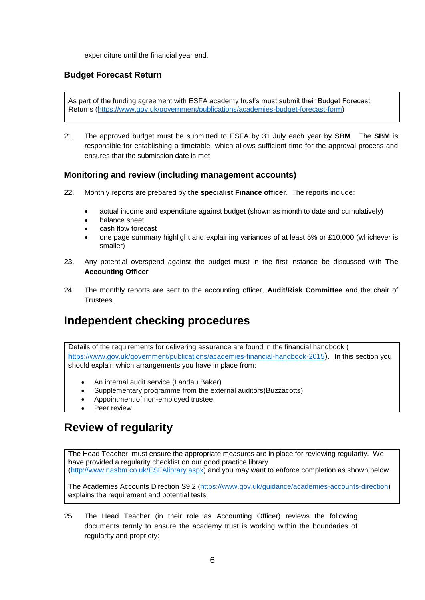expenditure until the financial year end.

# <span id="page-6-0"></span>**Budget Forecast Return**

As part of the funding agreement with ESFA academy trust's must submit their Budget Forecast Returns [\(https://www.gov.uk/government/publications/academies-budget-forecast-form\)](https://www.gov.uk/government/publications/academies-budget-forecast-form)

21. The approved budget must be submitted to ESFA by 31 July each year by **SBM**. The **SBM** is responsible for establishing a timetable, which allows sufficient time for the approval process and ensures that the submission date is met.

### <span id="page-6-1"></span>**Monitoring and review (including management accounts)**

- 22. Monthly reports are prepared by **the specialist Finance officer**. The reports include:
	- actual income and expenditure against budget (shown as month to date and cumulatively)
	- balance sheet
	- cash flow forecast
	- one page summary highlight and explaining variances of at least 5% or £10,000 (whichever is smaller)
- 23. Any potential overspend against the budget must in the first instance be discussed with **The Accounting Officer**
- 24. The monthly reports are sent to the accounting officer, **Audit/Risk Committee** and the chair of Trustees.

# <span id="page-6-2"></span>**Independent checking procedures**

Details of the requirements for delivering assurance are found in the financial handbook ( <https://www.gov.uk/government/publications/academies-financial-handbook-2015>). In this section you should explain which arrangements you have in place from:

- An internal audit service (Landau Baker)
- Supplementary programme from the external auditors(Buzzacotts)
- Appointment of non-employed trustee
- Peer review

# <span id="page-6-3"></span>**Review of regularity**

The Head Teacher must ensure the appropriate measures are in place for reviewing regularity. We have provided a regularity checklist on our good practice library [\(http://www.nasbm.co.uk/ESFAlibrary.aspx\)](http://www.nasbm.co.uk/EFAlibrary.aspx) and you may want to enforce completion as shown below.

The Academies Accounts Direction S9.2 [\(https://www.gov.uk/guidance/academies-accounts-direction\)](https://www.gov.uk/guidance/academies-accounts-direction) explains the requirement and potential tests.

25. The Head Teacher (in their role as Accounting Officer) reviews the following documents termly to ensure the academy trust is working within the boundaries of regularity and propriety: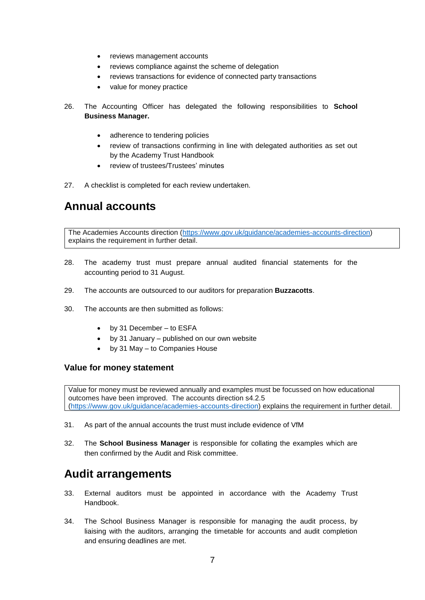- reviews management accounts
- reviews compliance against the scheme of delegation
- reviews transactions for evidence of connected party transactions
- value for money practice
- 26. The Accounting Officer has delegated the following responsibilities to **School Business Manager.**
	- adherence to tendering policies
	- review of transactions confirming in line with delegated authorities as set out by the Academy Trust Handbook
	- review of trustees/Trustees' minutes
- 27. A checklist is completed for each review undertaken.

# <span id="page-7-0"></span>**Annual accounts**

The Academies Accounts direction [\(https://www.gov.uk/guidance/academies-accounts-direction\)](https://www.gov.uk/guidance/academies-accounts-direction) explains the requirement in further detail.

- 28. The academy trust must prepare annual audited financial statements for the accounting period to 31 August.
- 29. The accounts are outsourced to our auditors for preparation **Buzzacotts**.
- 30. The accounts are then submitted as follows:
	- by 31 December to ESFA
	- by 31 January published on our own website
	- by 31 May to Companies House

### <span id="page-7-1"></span>**Value for money statement**

Value for money must be reviewed annually and examples must be focussed on how educational outcomes have been improved. The accounts direction s4.2.5 [\(https://www.gov.uk/guidance/academies-accounts-direction\)](https://www.gov.uk/guidance/academies-accounts-direction) explains the requirement in further detail.

- 31. As part of the annual accounts the trust must include evidence of VfM
- 32. The **School Business Manager** is responsible for collating the examples which are then confirmed by the Audit and Risk committee.

# <span id="page-7-2"></span>**Audit arrangements**

- 33. External auditors must be appointed in accordance with the Academy Trust Handbook.
- 34. The School Business Manager is responsible for managing the audit process, by liaising with the auditors, arranging the timetable for accounts and audit completion and ensuring deadlines are met.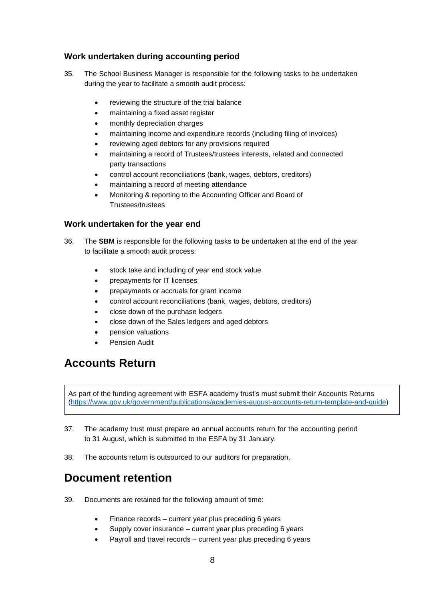# <span id="page-8-0"></span>**Work undertaken during accounting period**

- 35. The School Business Manager is responsible for the following tasks to be undertaken during the year to facilitate a smooth audit process:
	- reviewing the structure of the trial balance
	- maintaining a fixed asset register
	- monthly depreciation charges
	- maintaining income and expenditure records (including filing of invoices)
	- reviewing aged debtors for any provisions required
	- maintaining a record of Trustees/trustees interests, related and connected party transactions
	- control account reconciliations (bank, wages, debtors, creditors)
	- maintaining a record of meeting attendance
	- Monitoring & reporting to the Accounting Officer and Board of Trustees/trustees

### <span id="page-8-1"></span>**Work undertaken for the year end**

- 36. The **SBM** is responsible for the following tasks to be undertaken at the end of the year to facilitate a smooth audit process:
	- stock take and including of year end stock value
	- prepayments for IT licenses
	- prepayments or accruals for grant income
	- control account reconciliations (bank, wages, debtors, creditors)
	- close down of the purchase ledgers
	- close down of the Sales ledgers and aged debtors
	- pension valuations
	- Pension Audit

# <span id="page-8-2"></span>**Accounts Return**

As part of the funding agreement with ESFA academy trust's must submit their Accounts Returns [\(https://www.gov.uk/government/publications/academies-august-accounts-return-template-and-guide\)](https://www.gov.uk/government/publications/academies-august-accounts-return-template-and-guide)

- 37. The academy trust must prepare an annual accounts return for the accounting period to 31 August, which is submitted to the ESFA by 31 January.
- 38. The accounts return is outsourced to our auditors for preparation.

# <span id="page-8-3"></span>**Document retention**

- 39. Documents are retained for the following amount of time:
	- Finance records current year plus preceding 6 years
	- Supply cover insurance current year plus preceding 6 years
	- Payroll and travel records current year plus preceding 6 years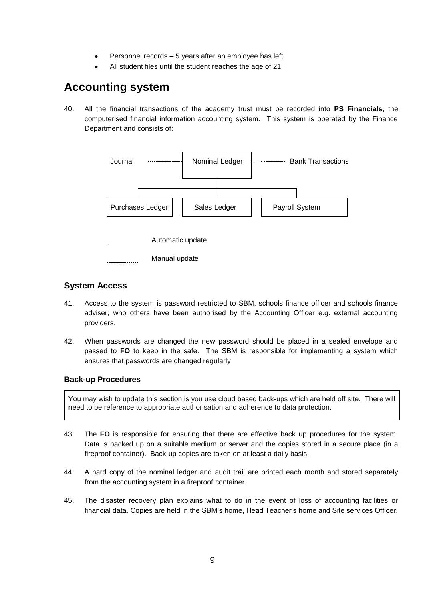- Personnel records 5 years after an employee has left
- All student files until the student reaches the age of 21

# <span id="page-9-0"></span>**Accounting system**

40. All the financial transactions of the academy trust must be recorded into **PS Financials**, the computerised financial information accounting system. This system is operated by the Finance Department and consists of:



### <span id="page-9-1"></span>**System Access**

- 41. Access to the system is password restricted to SBM, schools finance officer and schools finance adviser, who others have been authorised by the Accounting Officer e.g. external accounting providers.
- 42. When passwords are changed the new password should be placed in a sealed envelope and passed to **FO** to keep in the safe. The SBM is responsible for implementing a system which ensures that passwords are changed regularly

### <span id="page-9-2"></span>**Back-up Procedures**

You may wish to update this section is you use cloud based back-ups which are held off site. There will need to be reference to appropriate authorisation and adherence to data protection.

- 43. The **FO** is responsible for ensuring that there are effective back up procedures for the system. Data is backed up on a suitable medium or server and the copies stored in a secure place (in a fireproof container). Back-up copies are taken on at least a daily basis.
- 44. A hard copy of the nominal ledger and audit trail are printed each month and stored separately from the accounting system in a fireproof container.
- 45. The disaster recovery plan explains what to do in the event of loss of accounting facilities or financial data. Copies are held in the SBM's home, Head Teacher's home and Site services Officer.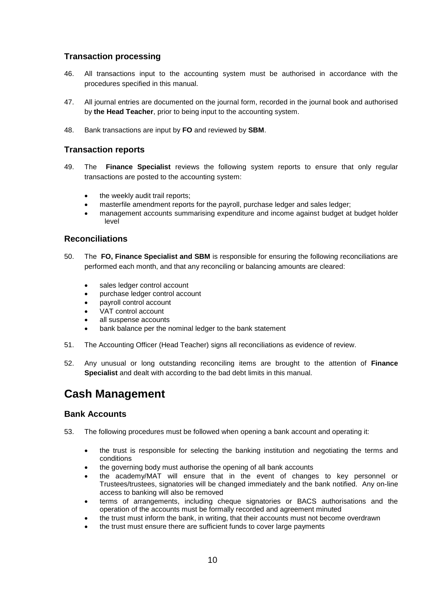# <span id="page-10-0"></span>**Transaction processing**

- 46. All transactions input to the accounting system must be authorised in accordance with the procedures specified in this manual.
- 47. All journal entries are documented on the journal form, recorded in the journal book and authorised by **the Head Teacher**, prior to being input to the accounting system.
- 48. Bank transactions are input by **FO** and reviewed by **SBM**.

### <span id="page-10-1"></span>**Transaction reports**

- 49. The **Finance Specialist** reviews the following system reports to ensure that only regular transactions are posted to the accounting system:
	- the weekly audit trail reports;
	- masterfile amendment reports for the payroll, purchase ledger and sales ledger;
	- management accounts summarising expenditure and income against budget at budget holder level

### <span id="page-10-2"></span>**Reconciliations**

- 50. The **FO, Finance Specialist and SBM** is responsible for ensuring the following reconciliations are performed each month, and that any reconciling or balancing amounts are cleared:
	- sales ledger control account
	- purchase ledger control account
	- payroll control account
	- VAT control account
	- all suspense accounts
	- bank balance per the nominal ledger to the bank statement
- 51. The Accounting Officer (Head Teacher) signs all reconciliations as evidence of review.
- 52. Any unusual or long outstanding reconciling items are brought to the attention of **Finance Specialist** and dealt with according to the bad debt limits in this manual.

# <span id="page-10-3"></span>**Cash Management**

### <span id="page-10-4"></span>**Bank Accounts**

- 53. The following procedures must be followed when opening a bank account and operating it:
	- the trust is responsible for selecting the banking institution and negotiating the terms and conditions
	- the governing body must authorise the opening of all bank accounts
	- the academy/MAT will ensure that in the event of changes to key personnel or Trustees/trustees, signatories will be changed immediately and the bank notified. Any on-line access to banking will also be removed
	- terms of arrangements, including cheque signatories or BACS authorisations and the operation of the accounts must be formally recorded and agreement minuted
	- the trust must inform the bank, in writing, that their accounts must not become overdrawn
	- the trust must ensure there are sufficient funds to cover large payments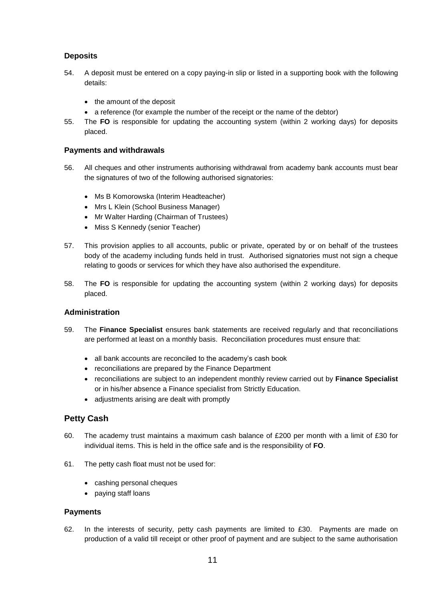# <span id="page-11-0"></span>**Deposits**

- 54. A deposit must be entered on a copy paying-in slip or listed in a supporting book with the following details:
	- the amount of the deposit
	- a reference (for example the number of the receipt or the name of the debtor)
- 55. The **FO** is responsible for updating the accounting system (within 2 working days) for deposits placed.

#### <span id="page-11-1"></span>**Payments and withdrawals**

- 56. All cheques and other instruments authorising withdrawal from academy bank accounts must bear the signatures of two of the following authorised signatories:
	- Ms B Komorowska (Interim Headteacher)
	- Mrs L Klein (School Business Manager)
	- Mr Walter Harding (Chairman of Trustees)
	- Miss S Kennedy (senior Teacher)
- 57. This provision applies to all accounts, public or private, operated by or on behalf of the trustees body of the academy including funds held in trust. Authorised signatories must not sign a cheque relating to goods or services for which they have also authorised the expenditure.
- 58. The **FO** is responsible for updating the accounting system (within 2 working days) for deposits placed.

### <span id="page-11-2"></span>**Administration**

- 59. The **Finance Specialist** ensures bank statements are received regularly and that reconciliations are performed at least on a monthly basis. Reconciliation procedures must ensure that:
	- all bank accounts are reconciled to the academy's cash book
	- reconciliations are prepared by the Finance Department
	- reconciliations are subject to an independent monthly review carried out by **Finance Specialist** or in his/her absence a Finance specialist from Strictly Education.
	- adjustments arising are dealt with promptly

# <span id="page-11-3"></span>**Petty Cash**

- 60. The academy trust maintains a maximum cash balance of £200 per month with a limit of £30 for individual items. This is held in the office safe and is the responsibility of **FO**.
- 61. The petty cash float must not be used for:
	- cashing personal cheques
	- paying staff loans

#### <span id="page-11-4"></span>**Payments**

62. In the interests of security, petty cash payments are limited to £30. Payments are made on production of a valid till receipt or other proof of payment and are subject to the same authorisation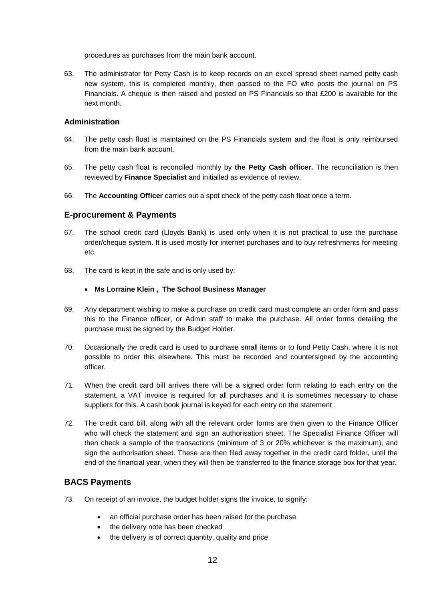procedures as purchases from the main bank account.

63. The administrator for Petty Cash is to keep records on an excel spread sheet named petty cash new system, this is completed monthly, then passed to the FO who posts the journal on PS Financials. A cheque is then raised and posted on PS Financials so that £200 is available for the next month.

#### <span id="page-12-0"></span>**Administration**

- 64. The petty cash float is maintained on the PS Financials system and the float is only reimbursed from the main bank account.
- 65. The petty cash float is reconciled monthly by **the Petty Cash officer.** The reconciliation is then reviewed by **Finance Specialist** and initialled as evidence of review.
- 66. The **Accounting Officer** carries out a spot check of the petty cash float once a term.

### <span id="page-12-1"></span>**E-procurement & Payments**

- 67. The school credit card (Lloyds Bank) is used only when it is not practical to use the purchase order/cheque system. It is used mostly for internet purchases and to buy refreshments for meeting etc.
- 68. The card is kept in the safe and is only used by:

#### **Ms Lorraine Klein , The School Business Manager**

- 69. Any department wishing to make a purchase on credit card must complete an order form and pass this to the Finance officer, or Admin staff to make the purchase. All order forms detailing the purchase must be signed by the Budget Holder.
- 70. Occasionally the credit card is used to purchase small items or to fund Petty Cash, where it is not possible to order this elsewhere. This must be recorded and countersigned by the accounting officer.
- 71. When the credit card bill arrives there will be a signed order form relating to each entry on the statement, a VAT invoice is required for all purchases and it is sometimes necessary to chase suppliers for this. A cash book journal is keyed for each entry on the statement .
- 72. The credit card bill, along with all the relevant order forms are then given to the Finance Officer who will check the statement and sign an authorisation sheet. The Specialist Finance Officer will then check a sample of the transactions (minimum of 3 or 20% whichever is the maximum), and sign the authorisation sheet. These are then filed away together in the credit card folder, until the end of the financial year, when they will then be transferred to the finance storage box for that year.

### <span id="page-12-2"></span>**BACS Payments**

- 73. On receipt of an invoice, the budget holder signs the invoice, to signify:
	- an official purchase order has been raised for the purchase
	- the delivery note has been checked
	- the delivery is of correct quantity, quality and price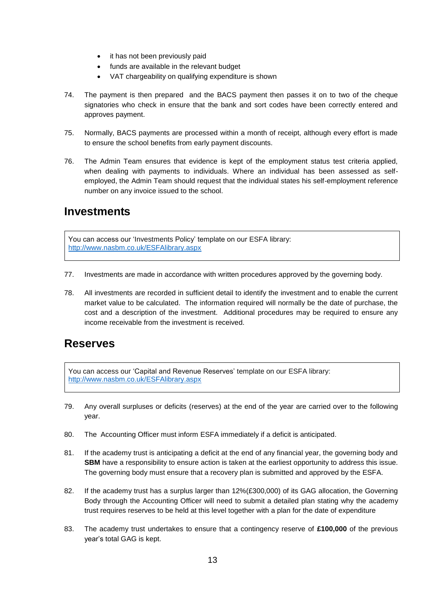- it has not been previously paid
- funds are available in the relevant budget
- VAT chargeability on qualifying expenditure is shown
- 74. The payment is then prepared and the BACS payment then passes it on to two of the cheque signatories who check in ensure that the bank and sort codes have been correctly entered and approves payment.
- 75. Normally, BACS payments are processed within a month of receipt, although every effort is made to ensure the school benefits from early payment discounts.
- 76. The Admin Team ensures that evidence is kept of the employment status test criteria applied, when dealing with payments to individuals. Where an individual has been assessed as selfemployed, the Admin Team should request that the individual states his self-employment reference number on any invoice issued to the school.

# <span id="page-13-0"></span>**Investments**

You can access our 'Investments Policy' template on our ESFA library: [http://www.nasbm.co.uk/ESFAlibrary.aspx](http://www.nasbm.co.uk/EFAlibrary.aspx)

- 77. Investments are made in accordance with written procedures approved by the governing body.
- 78. All investments are recorded in sufficient detail to identify the investment and to enable the current market value to be calculated. The information required will normally be the date of purchase, the cost and a description of the investment. Additional procedures may be required to ensure any income receivable from the investment is received.

# <span id="page-13-1"></span>**Reserves**

You can access our 'Capital and Revenue Reserves' template on our ESFA library: [http://www.nasbm.co.uk/ESFAlibrary.aspx](http://www.nasbm.co.uk/EFAlibrary.aspx)

- 79. Any overall surpluses or deficits (reserves) at the end of the year are carried over to the following year.
- 80. The Accounting Officer must inform ESFA immediately if a deficit is anticipated.
- 81. If the academy trust is anticipating a deficit at the end of any financial year, the governing body and **SBM** have a responsibility to ensure action is taken at the earliest opportunity to address this issue. The governing body must ensure that a recovery plan is submitted and approved by the ESFA.
- 82. If the academy trust has a surplus larger than 12%(£300,000) of its GAG allocation, the Governing Body through the Accounting Officer will need to submit a detailed plan stating why the academy trust requires reserves to be held at this level together with a plan for the date of expenditure
- 83. The academy trust undertakes to ensure that a contingency reserve of **£100,000** of the previous year's total GAG is kept.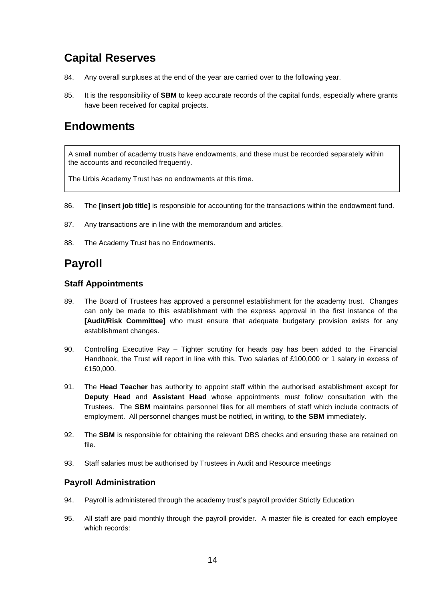# <span id="page-14-0"></span>**Capital Reserves**

- 84. Any overall surpluses at the end of the year are carried over to the following year.
- 85. It is the responsibility of **SBM** to keep accurate records of the capital funds, especially where grants have been received for capital projects.

# <span id="page-14-1"></span>**Endowments**

A small number of academy trusts have endowments, and these must be recorded separately within the accounts and reconciled frequently.

The Urbis Academy Trust has no endowments at this time.

- 86. The **[insert job title]** is responsible for accounting for the transactions within the endowment fund.
- 87. Any transactions are in line with the memorandum and articles.
- 88. The Academy Trust has no Endowments.

# <span id="page-14-2"></span>**Payroll**

### <span id="page-14-3"></span>**Staff Appointments**

- 89. The Board of Trustees has approved a personnel establishment for the academy trust. Changes can only be made to this establishment with the express approval in the first instance of the **[Audit/Risk Committee]** who must ensure that adequate budgetary provision exists for any establishment changes.
- 90. Controlling Executive Pay Tighter scrutiny for heads pay has been added to the Financial Handbook, the Trust will report in line with this. Two salaries of £100,000 or 1 salary in excess of £150,000.
- 91. The **Head Teacher** has authority to appoint staff within the authorised establishment except for **Deputy Head** and **Assistant Head** whose appointments must follow consultation with the Trustees. The **SBM** maintains personnel files for all members of staff which include contracts of employment. All personnel changes must be notified, in writing, to **the SBM** immediately.
- 92. The **SBM** is responsible for obtaining the relevant DBS checks and ensuring these are retained on file.
- 93. Staff salaries must be authorised by Trustees in Audit and Resource meetings

### <span id="page-14-4"></span>**Payroll Administration**

- 94. Payroll is administered through the academy trust's payroll provider Strictly Education
- 95. All staff are paid monthly through the payroll provider. A master file is created for each employee which records: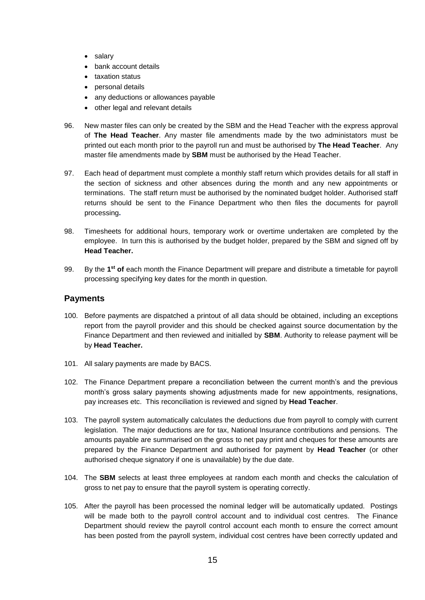- salary
- bank account details
- **•** taxation status
- personal details
- any deductions or allowances payable
- other legal and relevant details
- 96. New master files can only be created by the SBM and the Head Teacher with the express approval of **The Head Teacher**. Any master file amendments made by the two administators must be printed out each month prior to the payroll run and must be authorised by **The Head Teacher**. Any master file amendments made by **SBM** must be authorised by the Head Teacher.
- 97. Each head of department must complete a monthly staff return which provides details for all staff in the section of sickness and other absences during the month and any new appointments or terminations. The staff return must be authorised by the nominated budget holder. Authorised staff returns should be sent to the Finance Department who then files the documents for payroll processing**.**
- 98. Timesheets for additional hours, temporary work or overtime undertaken are completed by the employee. In turn this is authorised by the budget holder, prepared by the SBM and signed off by **Head Teacher.**
- 99. By the **1 st of** each month the Finance Department will prepare and distribute a timetable for payroll processing specifying key dates for the month in question.

# <span id="page-15-0"></span>**Payments**

- 100. Before payments are dispatched a printout of all data should be obtained, including an exceptions report from the payroll provider and this should be checked against source documentation by the Finance Department and then reviewed and initialled by **SBM**. Authority to release payment will be by **Head Teacher.**
- 101. All salary payments are made by BACS.
- 102. The Finance Department prepare a reconciliation between the current month's and the previous month's gross salary payments showing adjustments made for new appointments, resignations, pay increases etc. This reconciliation is reviewed and signed by **Head Teacher**.
- 103. The payroll system automatically calculates the deductions due from payroll to comply with current legislation. The major deductions are for tax, National Insurance contributions and pensions. The amounts payable are summarised on the gross to net pay print and cheques for these amounts are prepared by the Finance Department and authorised for payment by **Head Teacher** (or other authorised cheque signatory if one is unavailable) by the due date.
- 104. The **SBM** selects at least three employees at random each month and checks the calculation of gross to net pay to ensure that the payroll system is operating correctly.
- 105. After the payroll has been processed the nominal ledger will be automatically updated. Postings will be made both to the payroll control account and to individual cost centres. The Finance Department should review the payroll control account each month to ensure the correct amount has been posted from the payroll system, individual cost centres have been correctly updated and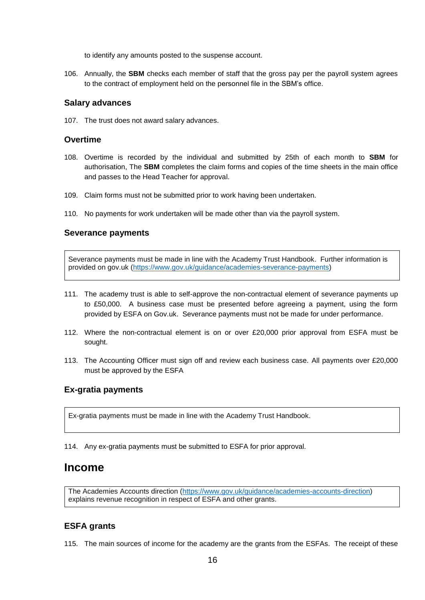to identify any amounts posted to the suspense account.

106. Annually, the **SBM** checks each member of staff that the gross pay per the payroll system agrees to the contract of employment held on the personnel file in the SBM's office.

#### <span id="page-16-0"></span>**Salary advances**

107. The trust does not award salary advances.

#### <span id="page-16-1"></span>**Overtime**

- 108. Overtime is recorded by the individual and submitted by 25th of each month to **SBM** for authorisation, The **SBM** completes the claim forms and copies of the time sheets in the main office and passes to the Head Teacher for approval.
- 109. Claim forms must not be submitted prior to work having been undertaken.
- 110. No payments for work undertaken will be made other than via the payroll system.

#### <span id="page-16-2"></span>**Severance payments**

Severance payments must be made in line with the Academy Trust Handbook. Further information is provided on gov.uk [\(https://www.gov.uk/guidance/academies-severance-payments\)](https://www.gov.uk/guidance/academies-severance-payments)

- 111. The academy trust is able to self-approve the non-contractual element of severance payments up to £50,000. A business case must be presented before agreeing a payment, using the form provided by ESFA on Gov.uk. Severance payments must not be made for under performance.
- 112. Where the non-contractual element is on or over £20,000 prior approval from ESFA must be sought.
- 113. The Accounting Officer must sign off and review each business case. All payments over £20,000 must be approved by the ESFA

### <span id="page-16-3"></span>**Ex-gratia payments**

Ex-gratia payments must be made in line with the Academy Trust Handbook.

114. Any ex-gratia payments must be submitted to ESFA for prior approval.

# <span id="page-16-4"></span>**Income**

The Academies Accounts direction [\(https://www.gov.uk/guidance/academies-accounts-direction\)](https://www.gov.uk/guidance/academies-accounts-direction) explains revenue recognition in respect of ESFA and other grants.

# <span id="page-16-5"></span>**ESFA grants**

115. The main sources of income for the academy are the grants from the ESFAs. The receipt of these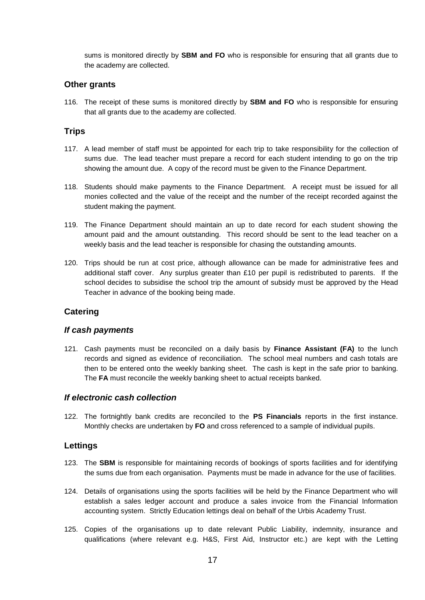sums is monitored directly by **SBM and FO** who is responsible for ensuring that all grants due to the academy are collected.

### <span id="page-17-0"></span>**Other grants**

116. The receipt of these sums is monitored directly by **SBM and FO** who is responsible for ensuring that all grants due to the academy are collected.

#### <span id="page-17-1"></span>**Trips**

- 117. A lead member of staff must be appointed for each trip to take responsibility for the collection of sums due. The lead teacher must prepare a record for each student intending to go on the trip showing the amount due. A copy of the record must be given to the Finance Department.
- 118. Students should make payments to the Finance Department. A receipt must be issued for all monies collected and the value of the receipt and the number of the receipt recorded against the student making the payment.
- 119. The Finance Department should maintain an up to date record for each student showing the amount paid and the amount outstanding. This record should be sent to the lead teacher on a weekly basis and the lead teacher is responsible for chasing the outstanding amounts.
- 120. Trips should be run at cost price, although allowance can be made for administrative fees and additional staff cover. Any surplus greater than £10 per pupil is redistributed to parents. If the school decides to subsidise the school trip the amount of subsidy must be approved by the Head Teacher in advance of the booking being made.

### <span id="page-17-2"></span>**Catering**

#### *If cash payments*

121. Cash payments must be reconciled on a daily basis by **Finance Assistant (FA)** to the lunch records and signed as evidence of reconciliation. The school meal numbers and cash totals are then to be entered onto the weekly banking sheet. The cash is kept in the safe prior to banking. The **FA** must reconcile the weekly banking sheet to actual receipts banked.

#### *If electronic cash collection*

122. The fortnightly bank credits are reconciled to the **PS Financials** reports in the first instance. Monthly checks are undertaken by **FO** and cross referenced to a sample of individual pupils.

#### <span id="page-17-3"></span>**Lettings**

- 123. The **SBM** is responsible for maintaining records of bookings of sports facilities and for identifying the sums due from each organisation. Payments must be made in advance for the use of facilities.
- 124. Details of organisations using the sports facilities will be held by the Finance Department who will establish a sales ledger account and produce a sales invoice from the Financial Information accounting system. Strictly Education lettings deal on behalf of the Urbis Academy Trust.
- 125. Copies of the organisations up to date relevant Public Liability, indemnity, insurance and qualifications (where relevant e.g. H&S, First Aid, Instructor etc.) are kept with the Letting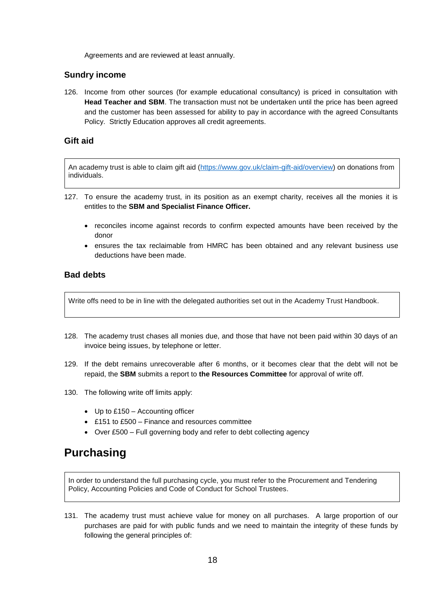Agreements and are reviewed at least annually.

#### <span id="page-18-0"></span>**Sundry income**

126. Income from other sources (for example educational consultancy) is priced in consultation with **Head Teacher and SBM**. The transaction must not be undertaken until the price has been agreed and the customer has been assessed for ability to pay in accordance with the agreed Consultants Policy. Strictly Education approves all credit agreements.

#### <span id="page-18-1"></span>**Gift aid**

An academy trust is able to claim gift aid [\(https://www.gov.uk/claim-gift-aid/overview\)](https://www.gov.uk/claim-gift-aid/overview) on donations from individuals.

- 127. To ensure the academy trust, in its position as an exempt charity, receives all the monies it is entitles to the **SBM and Specialist Finance Officer.**
	- reconciles income against records to confirm expected amounts have been received by the donor
	- ensures the tax reclaimable from HMRC has been obtained and any relevant business use deductions have been made.

### <span id="page-18-2"></span>**Bad debts**

Write offs need to be in line with the delegated authorities set out in the Academy Trust Handbook.

- 128. The academy trust chases all monies due, and those that have not been paid within 30 days of an invoice being issues, by telephone or letter.
- 129. If the debt remains unrecoverable after 6 months, or it becomes clear that the debt will not be repaid, the **SBM** submits a report to **the Resources Committee** for approval of write off.
- 130. The following write off limits apply:
	- Up to £150 Accounting officer
	- £151 to £500 Finance and resources committee
	- Over £500 Full governing body and refer to debt collecting agency

# <span id="page-18-3"></span>**Purchasing**

In order to understand the full purchasing cycle, you must refer to the Procurement and Tendering Policy, Accounting Policies and Code of Conduct for School Trustees.

131. The academy trust must achieve value for money on all purchases. A large proportion of our purchases are paid for with public funds and we need to maintain the integrity of these funds by following the general principles of: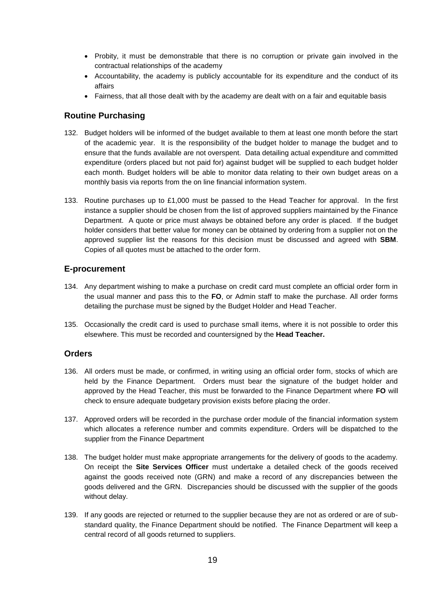- Probity, it must be demonstrable that there is no corruption or private gain involved in the contractual relationships of the academy
- Accountability, the academy is publicly accountable for its expenditure and the conduct of its affairs
- Fairness, that all those dealt with by the academy are dealt with on a fair and equitable basis

# <span id="page-19-0"></span>**Routine Purchasing**

- 132. Budget holders will be informed of the budget available to them at least one month before the start of the academic year. It is the responsibility of the budget holder to manage the budget and to ensure that the funds available are not overspent. Data detailing actual expenditure and committed expenditure (orders placed but not paid for) against budget will be supplied to each budget holder each month. Budget holders will be able to monitor data relating to their own budget areas on a monthly basis via reports from the on line financial information system.
- 133. Routine purchases up to £1,000 must be passed to the Head Teacher for approval. In the first instance a supplier should be chosen from the list of approved suppliers maintained by the Finance Department. A quote or price must always be obtained before any order is placed. If the budget holder considers that better value for money can be obtained by ordering from a supplier not on the approved supplier list the reasons for this decision must be discussed and agreed with **SBM**. Copies of all quotes must be attached to the order form.

### <span id="page-19-1"></span>**E-procurement**

- 134. Any department wishing to make a purchase on credit card must complete an official order form in the usual manner and pass this to the **FO**, or Admin staff to make the purchase. All order forms detailing the purchase must be signed by the Budget Holder and Head Teacher.
- 135. Occasionally the credit card is used to purchase small items, where it is not possible to order this elsewhere. This must be recorded and countersigned by the **Head Teacher.**

### <span id="page-19-2"></span>**Orders**

- 136. All orders must be made, or confirmed, in writing using an official order form, stocks of which are held by the Finance Department. Orders must bear the signature of the budget holder and approved by the Head Teacher, this must be forwarded to the Finance Department where **FO** will check to ensure adequate budgetary provision exists before placing the order.
- 137. Approved orders will be recorded in the purchase order module of the financial information system which allocates a reference number and commits expenditure. Orders will be dispatched to the supplier from the Finance Department
- 138. The budget holder must make appropriate arrangements for the delivery of goods to the academy. On receipt the **Site Services Officer** must undertake a detailed check of the goods received against the goods received note (GRN) and make a record of any discrepancies between the goods delivered and the GRN. Discrepancies should be discussed with the supplier of the goods without delay.
- 139. If any goods are rejected or returned to the supplier because they are not as ordered or are of substandard quality, the Finance Department should be notified. The Finance Department will keep a central record of all goods returned to suppliers.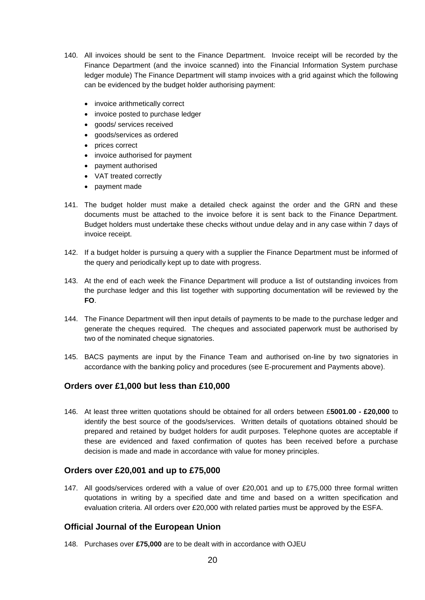- 140. All invoices should be sent to the Finance Department. Invoice receipt will be recorded by the Finance Department (and the invoice scanned) into the Financial Information System purchase ledger module) The Finance Department will stamp invoices with a grid against which the following can be evidenced by the budget holder authorising payment:
	- invoice arithmetically correct
	- invoice posted to purchase ledger
	- goods/ services received
	- goods/services as ordered
	- prices correct
	- invoice authorised for payment
	- payment authorised
	- VAT treated correctly
	- payment made
- 141. The budget holder must make a detailed check against the order and the GRN and these documents must be attached to the invoice before it is sent back to the Finance Department. Budget holders must undertake these checks without undue delay and in any case within 7 days of invoice receipt.
- 142. If a budget holder is pursuing a query with a supplier the Finance Department must be informed of the query and periodically kept up to date with progress.
- 143. At the end of each week the Finance Department will produce a list of outstanding invoices from the purchase ledger and this list together with supporting documentation will be reviewed by the **FO**.
- 144. The Finance Department will then input details of payments to be made to the purchase ledger and generate the cheques required. The cheques and associated paperwork must be authorised by two of the nominated cheque signatories.
- 145. BACS payments are input by the Finance Team and authorised on-line by two signatories in accordance with the banking policy and procedures (see E-procurement and Payments above).

# <span id="page-20-0"></span>**Orders over £1,000 but less than £10,000**

146. At least three written quotations should be obtained for all orders between £**5001.00 - £20,000** to identify the best source of the goods/services. Written details of quotations obtained should be prepared and retained by budget holders for audit purposes. Telephone quotes are acceptable if these are evidenced and faxed confirmation of quotes has been received before a purchase decision is made and made in accordance with value for money principles.

### <span id="page-20-1"></span>**Orders over £20,001 and up to £75,000**

147. All goods/services ordered with a value of over £20,001 and up to £75,000 three formal written quotations in writing by a specified date and time and based on a written specification and evaluation criteria. All orders over £20,000 with related parties must be approved by the ESFA.

### <span id="page-20-2"></span>**Official Journal of the European Union**

148. Purchases over **£75,000** are to be dealt with in accordance with OJEU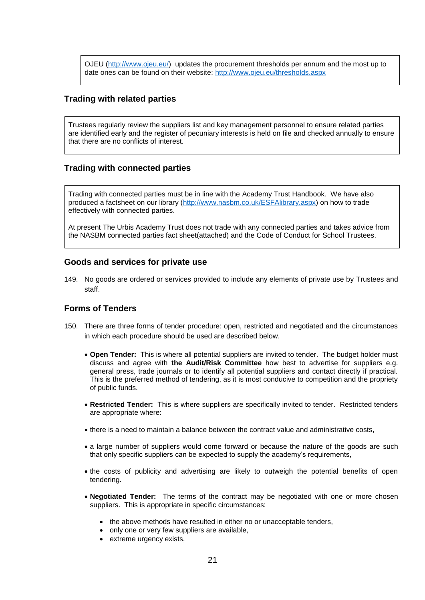OJEU [\(http://www.ojeu.eu/\)](http://www.ojeu.eu/) updates the procurement thresholds per annum and the most up to date ones can be found on their website:<http://www.ojeu.eu/thresholds.aspx>

### <span id="page-21-0"></span>**Trading with related parties**

Trustees regularly review the suppliers list and key management personnel to ensure related parties are identified early and the register of pecuniary interests is held on file and checked annually to ensure that there are no conflicts of interest.

### <span id="page-21-1"></span>**Trading with connected parties**

Trading with connected parties must be in line with the Academy Trust Handbook. We have also produced a factsheet on our library [\(http://www.nasbm.co.uk/ESFAlibrary.aspx\)](http://www.nasbm.co.uk/EFAlibrary.aspx) on how to trade effectively with connected parties.

At present The Urbis Academy Trust does not trade with any connected parties and takes advice from the NASBM connected parties fact sheet(attached) and the Code of Conduct for School Trustees.

#### <span id="page-21-2"></span>**Goods and services for private use**

149. No goods are ordered or services provided to include any elements of private use by Trustees and staff.

### <span id="page-21-3"></span>**Forms of Tenders**

- 150. There are three forms of tender procedure: open, restricted and negotiated and the circumstances in which each procedure should be used are described below.
	- **Open Tender:** This is where all potential suppliers are invited to tender. The budget holder must discuss and agree with **the Audit/Risk Committee** how best to advertise for suppliers e.g. general press, trade journals or to identify all potential suppliers and contact directly if practical. This is the preferred method of tendering, as it is most conducive to competition and the propriety of public funds.
	- **Restricted Tender:** This is where suppliers are specifically invited to tender. Restricted tenders are appropriate where:
	- there is a need to maintain a balance between the contract value and administrative costs,
	- a large number of suppliers would come forward or because the nature of the goods are such that only specific suppliers can be expected to supply the academy's requirements,
	- the costs of publicity and advertising are likely to outweigh the potential benefits of open tendering.
	- **Negotiated Tender:** The terms of the contract may be negotiated with one or more chosen suppliers. This is appropriate in specific circumstances:
		- the above methods have resulted in either no or unacceptable tenders,
		- only one or very few suppliers are available,
		- extreme urgency exists,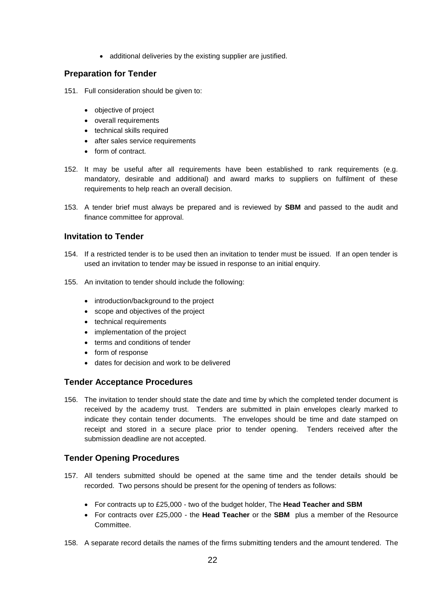• additional deliveries by the existing supplier are justified.

# <span id="page-22-0"></span>**Preparation for Tender**

151. Full consideration should be given to:

- objective of project
- overall requirements
- technical skills required
- after sales service requirements
- form of contract.
- 152. It may be useful after all requirements have been established to rank requirements (e.g. mandatory, desirable and additional) and award marks to suppliers on fulfilment of these requirements to help reach an overall decision.
- 153. A tender brief must always be prepared and is reviewed by **SBM** and passed to the audit and finance committee for approval.

### <span id="page-22-1"></span>**Invitation to Tender**

- 154. If a restricted tender is to be used then an invitation to tender must be issued. If an open tender is used an invitation to tender may be issued in response to an initial enquiry.
- 155. An invitation to tender should include the following:
	- introduction/background to the project
	- scope and objectives of the project
	- technical requirements
	- implementation of the project
	- terms and conditions of tender
	- form of response
	- dates for decision and work to be delivered

### <span id="page-22-2"></span>**Tender Acceptance Procedures**

156. The invitation to tender should state the date and time by which the completed tender document is received by the academy trust. Tenders are submitted in plain envelopes clearly marked to indicate they contain tender documents. The envelopes should be time and date stamped on receipt and stored in a secure place prior to tender opening. Tenders received after the submission deadline are not accepted.

# <span id="page-22-3"></span>**Tender Opening Procedures**

- 157. All tenders submitted should be opened at the same time and the tender details should be recorded. Two persons should be present for the opening of tenders as follows:
	- For contracts up to £25,000 two of the budget holder, The **Head Teacher and SBM**
	- For contracts over £25,000 the **Head Teacher** or the **SBM** plus a member of the Resource Committee.
- 158. A separate record details the names of the firms submitting tenders and the amount tendered. The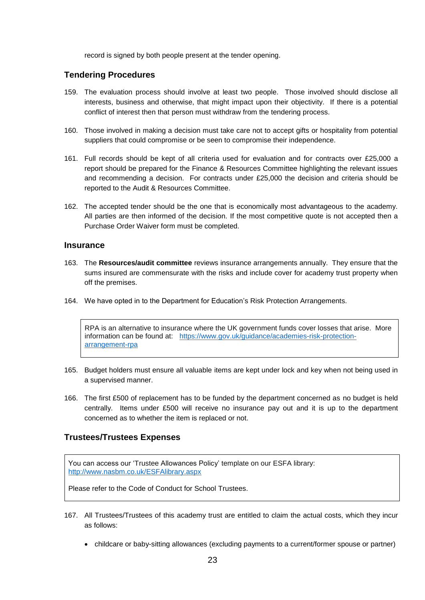record is signed by both people present at the tender opening.

### <span id="page-23-0"></span>**Tendering Procedures**

- 159. The evaluation process should involve at least two people. Those involved should disclose all interests, business and otherwise, that might impact upon their objectivity. If there is a potential conflict of interest then that person must withdraw from the tendering process.
- 160. Those involved in making a decision must take care not to accept gifts or hospitality from potential suppliers that could compromise or be seen to compromise their independence.
- 161. Full records should be kept of all criteria used for evaluation and for contracts over £25,000 a report should be prepared for the Finance & Resources Committee highlighting the relevant issues and recommending a decision. For contracts under £25,000 the decision and criteria should be reported to the Audit & Resources Committee.
- 162. The accepted tender should be the one that is economically most advantageous to the academy. All parties are then informed of the decision. If the most competitive quote is not accepted then a Purchase Order Waiver form must be completed.

#### <span id="page-23-1"></span>**Insurance**

- 163. The **Resources/audit committee** reviews insurance arrangements annually. They ensure that the sums insured are commensurate with the risks and include cover for academy trust property when off the premises.
- 164. We have opted in to the Department for Education's Risk Protection Arrangements.

RPA is an alternative to insurance where the UK government funds cover losses that arise. More information can be found at: [https://www.gov.uk/guidance/academies-risk-protection](https://www.gov.uk/guidance/academies-risk-protection-arrangement-rpa)[arrangement-rpa](https://www.gov.uk/guidance/academies-risk-protection-arrangement-rpa)

- 165. Budget holders must ensure all valuable items are kept under lock and key when not being used in a supervised manner.
- 166. The first £500 of replacement has to be funded by the department concerned as no budget is held centrally. Items under £500 will receive no insurance pay out and it is up to the department concerned as to whether the item is replaced or not.

# <span id="page-23-2"></span>**Trustees/Trustees Expenses**

You can access our 'Trustee Allowances Policy' template on our ESFA library: [http://www.nasbm.co.uk/ESFAlibrary.aspx](http://www.nasbm.co.uk/EFAlibrary.aspx)

Please refer to the Code of Conduct for School Trustees.

- 167. All Trustees/Trustees of this academy trust are entitled to claim the actual costs, which they incur as follows:
	- childcare or baby-sitting allowances (excluding payments to a current/former spouse or partner)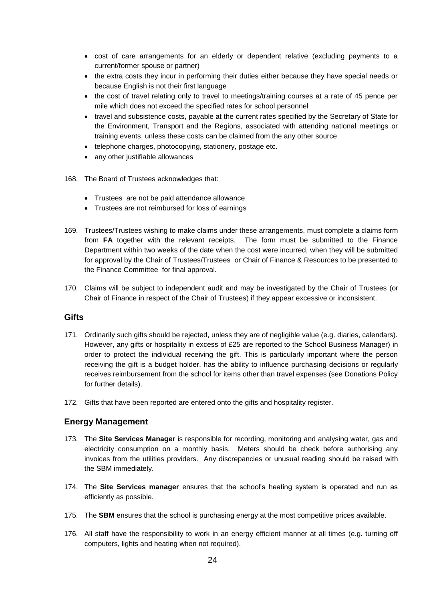- cost of care arrangements for an elderly or dependent relative (excluding payments to a current/former spouse or partner)
- the extra costs they incur in performing their duties either because they have special needs or because English is not their first language
- the cost of travel relating only to travel to meetings/training courses at a rate of 45 pence per mile which does not exceed the specified rates for school personnel
- travel and subsistence costs, payable at the current rates specified by the Secretary of State for the Environment, Transport and the Regions, associated with attending national meetings or training events, unless these costs can be claimed from the any other source
- telephone charges, photocopying, stationery, postage etc.
- any other justifiable allowances
- 168. The Board of Trustees acknowledges that:
	- Trustees are not be paid attendance allowance
	- Trustees are not reimbursed for loss of earnings
- 169. Trustees/Trustees wishing to make claims under these arrangements, must complete a claims form from **FA** together with the relevant receipts. The form must be submitted to the Finance Department within two weeks of the date when the cost were incurred, when they will be submitted for approval by the Chair of Trustees/Trustees or Chair of Finance & Resources to be presented to the Finance Committee for final approval.
- 170. Claims will be subject to independent audit and may be investigated by the Chair of Trustees (or Chair of Finance in respect of the Chair of Trustees) if they appear excessive or inconsistent.

### <span id="page-24-0"></span>**Gifts**

- 171. Ordinarily such gifts should be rejected, unless they are of negligible value (e.g. diaries, calendars). However, any gifts or hospitality in excess of £25 are reported to the School Business Manager) in order to protect the individual receiving the gift. This is particularly important where the person receiving the gift is a budget holder, has the ability to influence purchasing decisions or regularly receives reimbursement from the school for items other than travel expenses (see Donations Policy for further details).
- 172. Gifts that have been reported are entered onto the gifts and hospitality register.

# <span id="page-24-1"></span>**Energy Management**

- 173. The **Site Services Manager** is responsible for recording, monitoring and analysing water, gas and electricity consumption on a monthly basis. Meters should be check before authorising any invoices from the utilities providers. Any discrepancies or unusual reading should be raised with the SBM immediately.
- 174. The **Site Services manager** ensures that the school's heating system is operated and run as efficiently as possible.
- 175. The **SBM** ensures that the school is purchasing energy at the most competitive prices available.
- 176. All staff have the responsibility to work in an energy efficient manner at all times (e.g. turning off computers, lights and heating when not required).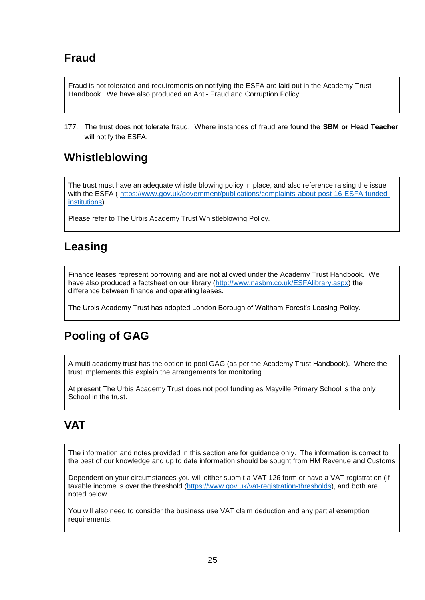# <span id="page-25-0"></span>**Fraud**

Fraud is not tolerated and requirements on notifying the ESFA are laid out in the Academy Trust Handbook. We have also produced an Anti- Fraud and Corruption Policy.

177. The trust does not tolerate fraud. Where instances of fraud are found the **SBM or Head Teacher** will notify the ESFA.

# <span id="page-25-1"></span>**Whistleblowing**

The trust must have an adequate whistle blowing policy in place, and also reference raising the issue with the ESFA ( [https://www.gov.uk/government/publications/complaints-about-post-16-ESFA-funded](https://www.gov.uk/government/publications/complaints-about-post-16-efa-funded-institutions)[institutions\)](https://www.gov.uk/government/publications/complaints-about-post-16-efa-funded-institutions).

Please refer to The Urbis Academy Trust Whistleblowing Policy.

# <span id="page-25-2"></span>**Leasing**

Finance leases represent borrowing and are not allowed under the Academy Trust Handbook. We have also produced a factsheet on our library [\(http://www.nasbm.co.uk/ESFAlibrary.aspx\)](http://www.nasbm.co.uk/EFAlibrary.aspx) the difference between finance and operating leases.

The Urbis Academy Trust has adopted London Borough of Waltham Forest's Leasing Policy.

# <span id="page-25-3"></span>**Pooling of GAG**

A multi academy trust has the option to pool GAG (as per the Academy Trust Handbook). Where the trust implements this explain the arrangements for monitoring.

At present The Urbis Academy Trust does not pool funding as Mayville Primary School is the only School in the trust.

# <span id="page-25-4"></span>**VAT**

The information and notes provided in this section are for guidance only. The information is correct to the best of our knowledge and up to date information should be sought from HM Revenue and Customs

Dependent on your circumstances you will either submit a VAT 126 form or have a VAT registration (if taxable income is over the threshold [\(https://www.gov.uk/vat-registration-thresholds\)](https://www.gov.uk/vat-registration-thresholds), and both are noted below.

You will also need to consider the business use VAT claim deduction and any partial exemption requirements.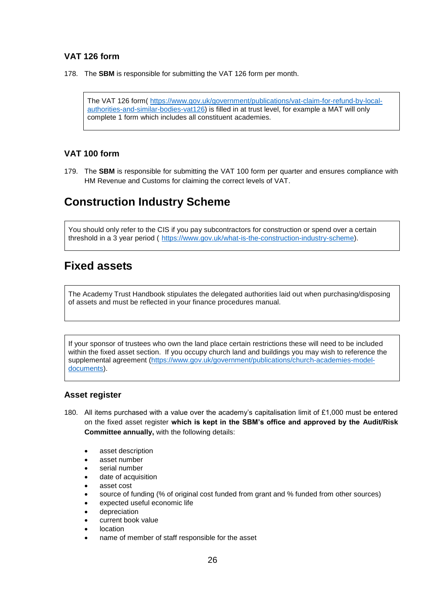# <span id="page-26-0"></span>**VAT 126 form**

178. The **SBM** is responsible for submitting the VAT 126 form per month.

The VAT 126 form( [https://www.gov.uk/government/publications/vat-claim-for-refund-by-local](https://www.gov.uk/government/publications/vat-claim-for-refund-by-local-authorities-and-similar-bodies-vat126)[authorities-and-similar-bodies-vat126\)](https://www.gov.uk/government/publications/vat-claim-for-refund-by-local-authorities-and-similar-bodies-vat126) is filled in at trust level, for example a MAT will only complete 1 form which includes all constituent academies.

# <span id="page-26-1"></span>**VAT 100 form**

179. The **SBM** is responsible for submitting the VAT 100 form per quarter and ensures compliance with HM Revenue and Customs for claiming the correct levels of VAT.

# <span id="page-26-2"></span>**Construction Industry Scheme**

You should only refer to the CIS if you pay subcontractors for construction or spend over a certain threshold in a 3 year period ( [https://www.gov.uk/what-is-the-construction-industry-scheme\)](https://www.gov.uk/what-is-the-construction-industry-scheme).

# <span id="page-26-3"></span>**Fixed assets**

The Academy Trust Handbook stipulates the delegated authorities laid out when purchasing/disposing of assets and must be reflected in your finance procedures manual.

If your sponsor of trustees who own the land place certain restrictions these will need to be included within the fixed asset section. If you occupy church land and buildings you may wish to reference the supplemental agreement [\(https://www.gov.uk/government/publications/church-academies-model](https://www.gov.uk/government/publications/church-academies-model-documents)[documents\)](https://www.gov.uk/government/publications/church-academies-model-documents).

### <span id="page-26-4"></span>**Asset register**

- 180. All items purchased with a value over the academy's capitalisation limit of £1,000 must be entered on the fixed asset register **which is kept in the SBM's office and approved by the Audit/Risk Committee annually,** with the following details:
	- asset description
	- asset number
	- serial number
	- date of acquisition
	- asset cost
	- source of funding (% of original cost funded from grant and % funded from other sources)
	- expected useful economic life
	- depreciation
	- current book value
	- location
	- name of member of staff responsible for the asset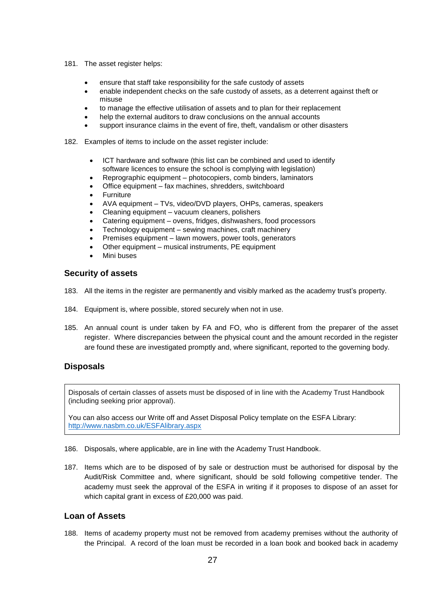- 181. The asset register helps:
	- ensure that staff take responsibility for the safe custody of assets
	- enable independent checks on the safe custody of assets, as a deterrent against theft or misuse
	- to manage the effective utilisation of assets and to plan for their replacement
	- help the external auditors to draw conclusions on the annual accounts
	- support insurance claims in the event of fire, theft, vandalism or other disasters
- 182. Examples of items to include on the asset register include:
	- ICT hardware and software (this list can be combined and used to identify software licences to ensure the school is complying with legislation)
	- Reprographic equipment photocopiers, comb binders, laminators
	- Office equipment fax machines, shredders, switchboard
	- Furniture
	- AVA equipment TVs, video/DVD players, OHPs, cameras, speakers
	- Cleaning equipment vacuum cleaners, polishers
	- Catering equipment ovens, fridges, dishwashers, food processors
	- Technology equipment sewing machines, craft machinery
	- Premises equipment lawn mowers, power tools, generators
	- Other equipment musical instruments, PE equipment
	- Mini buses

#### <span id="page-27-0"></span>**Security of assets**

- 183. All the items in the register are permanently and visibly marked as the academy trust's property.
- 184. Equipment is, where possible, stored securely when not in use.
- 185. An annual count is under taken by FA and FO, who is different from the preparer of the asset register. Where discrepancies between the physical count and the amount recorded in the register are found these are investigated promptly and, where significant, reported to the governing body.

# <span id="page-27-1"></span>**Disposals**

Disposals of certain classes of assets must be disposed of in line with the Academy Trust Handbook (including seeking prior approval).

You can also access our Write off and Asset Disposal Policy template on the ESFA Library: [http://www.nasbm.co.uk/ESFAlibrary.aspx](http://www.nasbm.co.uk/EFAlibrary.aspx)

- 186. Disposals, where applicable, are in line with the Academy Trust Handbook.
- 187. Items which are to be disposed of by sale or destruction must be authorised for disposal by the Audit/Risk Committee and, where significant, should be sold following competitive tender. The academy must seek the approval of the ESFA in writing if it proposes to dispose of an asset for which capital grant in excess of £20,000 was paid.

# <span id="page-27-2"></span>**Loan of Assets**

188. Items of academy property must not be removed from academy premises without the authority of the Principal. A record of the loan must be recorded in a loan book and booked back in academy